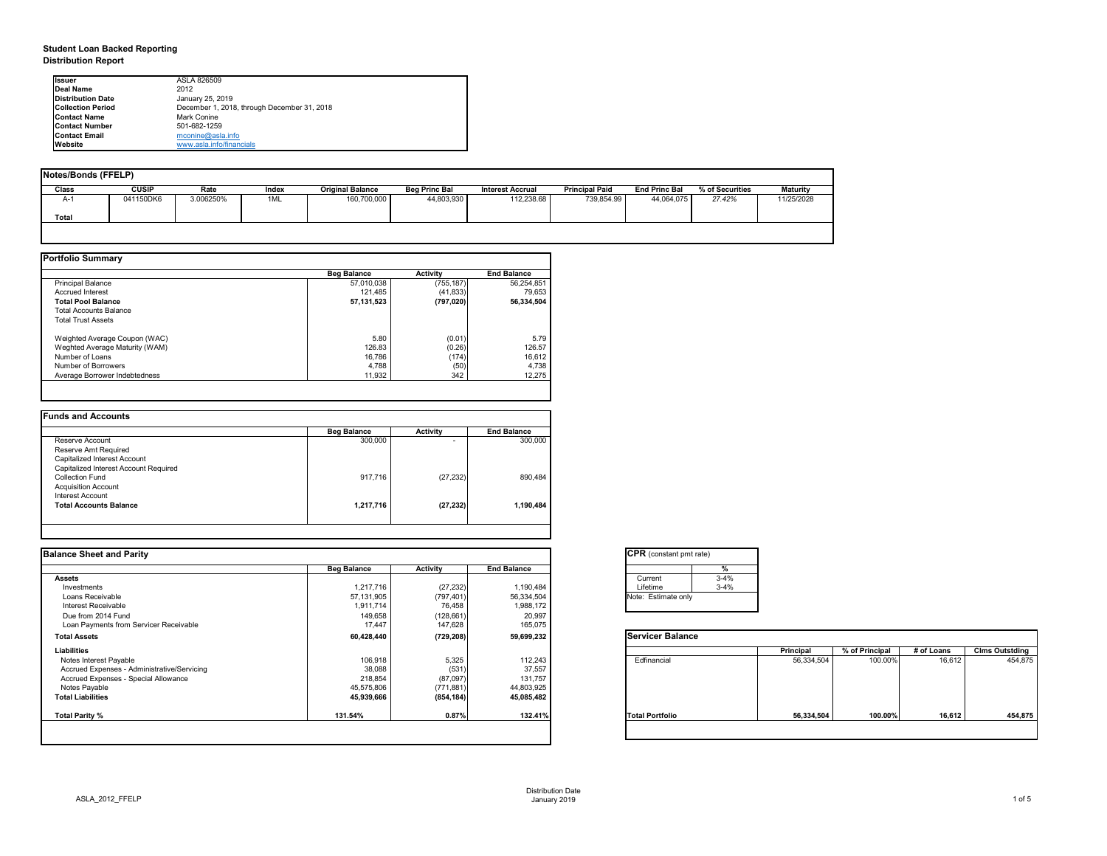# **Student Loan Backed Reporting Distribution Report**

| Notes/Bonds (FFELP) |              |           |       |                         |                      |                         |                       |                      |                 |                 |
|---------------------|--------------|-----------|-------|-------------------------|----------------------|-------------------------|-----------------------|----------------------|-----------------|-----------------|
| <b>Class</b>        | <b>CUSIP</b> | Rate      | Index | <b>Original Balance</b> | <b>Beg Princ Bal</b> | <b>Interest Accrual</b> | <b>Principal Paid</b> | <b>End Princ Bal</b> | % of Securities | <b>Maturity</b> |
| A-1                 | 041150DK6    | 3.006250% | 1ML   | 160,700,000             | 44,803,930           | 112,238.68              | 739,854.99            | 44,064,075           | 27.42%          | 11/25/2028      |
| <b>Total</b>        |              |           |       |                         |                      |                         |                       |                      |                 |                 |
|                     |              |           |       |                         |                      |                         |                       |                      |                 |                 |

|                                | <b>Beg Balance</b> | <b>Activity</b> | <b>End Balance</b> |
|--------------------------------|--------------------|-----------------|--------------------|
| Principal Balance              | 57,010,038         | (755, 187)      | 56,254,851         |
| <b>Accrued Interest</b>        | 121,485            | (41, 833)       | 79,653             |
| <b>Total Pool Balance</b>      | 57, 131, 523       | (797, 020)      | 56,334,504         |
| <b>Total Accounts Balance</b>  |                    |                 |                    |
| <b>Total Trust Assets</b>      |                    |                 |                    |
| Weighted Average Coupon (WAC)  | 5.80               | (0.01)          | 5.79               |
| Weghted Average Maturity (WAM) | 126.83             | (0.26)          | 126.57             |
| Number of Loans                | 16,786             | (174)           | 16,612             |
| Number of Borrowers            | 4,788              | (50)            | 4,738              |
| Average Borrower Indebtedness  | 11,932             | 342             | 12,275             |

| <b>Funds and Accounts</b>             |                    |                          |                    |
|---------------------------------------|--------------------|--------------------------|--------------------|
|                                       | <b>Beg Balance</b> | <b>Activity</b>          | <b>End Balance</b> |
| Reserve Account                       | 300,000            | $\overline{\phantom{0}}$ | 300,000            |
| Reserve Amt Required                  |                    |                          |                    |
| Capitalized Interest Account          |                    |                          |                    |
| Capitalized Interest Account Required |                    |                          |                    |
| <b>Collection Fund</b>                | 917,716            | (27, 232)                | 890,484            |
| <b>Acquisition Account</b>            |                    |                          |                    |
| Interest Account                      |                    |                          |                    |
| <b>Total Accounts Balance</b>         | 1,217,716          | (27, 232)                | 1,190,484          |
|                                       |                    |                          |                    |

| <b>Ilssuer</b>           | ASLA 826509                                 |
|--------------------------|---------------------------------------------|
| Deal Name                | 2012                                        |
| Distribution Date        | January 25, 2019                            |
| <b>Collection Period</b> | December 1, 2018, through December 31, 2018 |
| <b>Contact Name</b>      | <b>Mark Conine</b>                          |
| <b>Contact Number</b>    | 501-682-1259                                |
| <b>Contact Email</b>     | mconine@asla.info                           |
| <b>IWebsite</b>          | www.asla.info/financials                    |

| <b>Balance Sheet and Parity</b>             |                    |                 |                    | <b>CPR</b> (constant pmt rate) |                  |                |            |                       |
|---------------------------------------------|--------------------|-----------------|--------------------|--------------------------------|------------------|----------------|------------|-----------------------|
|                                             | <b>Beg Balance</b> | <b>Activity</b> | <b>End Balance</b> |                                |                  |                |            |                       |
| <b>Assets</b>                               |                    |                 |                    | Current                        | $3 - 4%$         |                |            |                       |
| Investments                                 | 1,217,716          | (27, 232)       | 1,190,484          | Lifetime                       | $3 - 4%$         |                |            |                       |
| Loans Receivable                            | 57,131,905         | (797, 401)      | 56,334,504         | Note: Estimate only            |                  |                |            |                       |
| Interest Receivable                         | 1,911,714          | 76,458          | 1,988,172          |                                |                  |                |            |                       |
| Due from 2014 Fund                          | 149,658            | (128, 661)      | 20,997             |                                |                  |                |            |                       |
| Loan Payments from Servicer Receivable      | 17,447             | 147,628         | 165,075            |                                |                  |                |            |                       |
| <b>Total Assets</b>                         | 60,428,440         | (729, 208)      | 59,699,232         | <b>Servicer Balance</b>        |                  |                |            |                       |
| Liabilities                                 |                    |                 |                    |                                | <b>Principal</b> | % of Principal | # of Loans | <b>Clms Outstding</b> |
| Notes Interest Payable                      | 106,918            | 5,325           | 112,243            | Edfinancial                    | 56,334,504       | 100.00%        | 16,612     | 454,875               |
| Accrued Expenses - Administrative/Servicing | 38,088             | (531)           | 37,557             |                                |                  |                |            |                       |
| Accrued Expenses - Special Allowance        | 218,854            | (87,097)        | 131,757            |                                |                  |                |            |                       |
| Notes Payable                               | 45,575,806         | (771, 881)      | 44,803,925         |                                |                  |                |            |                       |
| <b>Total Liabilities</b>                    | 45,939,666         | (854, 184)      | 45,085,482         |                                |                  |                |            |                       |
| Total Parity %                              | 131.54%            | 0.87%           | 132.41%            | <b>Total Portfolio</b>         | 56,334,504       | 100.00%        | 16,612     | 454,875               |
|                                             |                    |                 |                    |                                |                  |                |            |                       |

| CPR (con    |          |
|-------------|----------|
|             |          |
|             | Current  |
|             | Lifetime |
| Note: Estir |          |
|             |          |

| tant pmt rate) |          |  |
|----------------|----------|--|
|                | %        |  |
|                | $3 - 4%$ |  |
|                | $3 - 4%$ |  |
| ate only       |          |  |
|                |          |  |

|      | Principal  | % of Principal | # of Loans | <b>Clms Outstding</b> |
|------|------------|----------------|------------|-----------------------|
| эI   | 56,334,504 | 100.00%        | 16,612     | 454,875               |
| oilo | 56,334,504 | 100.00%        | 16,612     | 454,875               |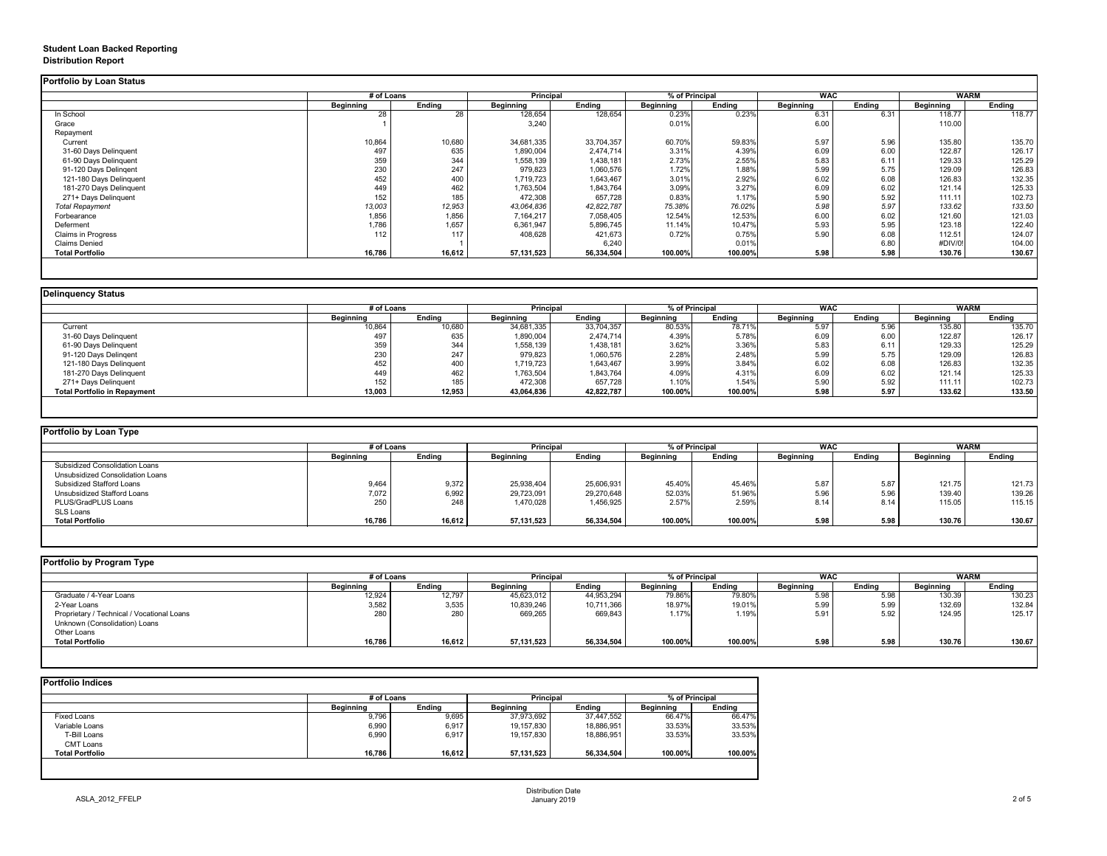## **Student Loan Backed Reporting Distribution Report**

|                           | # of Loans       |               | <b>Principal</b> |               | % of Principal   |               | <b>WAC</b>       |               | <b>WARM</b>      |               |
|---------------------------|------------------|---------------|------------------|---------------|------------------|---------------|------------------|---------------|------------------|---------------|
|                           | <b>Beginning</b> | <b>Ending</b> | <b>Beginning</b> | <b>Ending</b> | <b>Beginning</b> | <b>Ending</b> | <b>Beginning</b> | <b>Ending</b> | <b>Beginning</b> | <b>Ending</b> |
| In School                 | 28               | 28            | 128,654          | 128,654       | 0.23%            | 0.23%         | 6.31             | 6.31          | 118.77           | 118.77        |
| Grace                     |                  |               | 3,240            |               | 0.01%            |               | 6.00             |               | 110.00           |               |
| Repayment                 |                  |               |                  |               |                  |               |                  |               |                  |               |
| Current                   | 10,864           | 10,680        | 34,681,335       | 33,704,357    | 60.70%           | 59.83%        | 5.97             | 5.96          | 135.80           | 135.70        |
| 31-60 Days Delinquent     | 497              | 635           | 1,890,004        | 2,474,714     | 3.31%            | 4.39%         | 6.09             | 6.00          | 122.87           | 126.17        |
| 61-90 Days Delinquent     | 359              | 344           | 1,558,139        | 1,438,181     | 2.73%            | 2.55%         | 5.83             | 6.11          | 129.33           | 125.29        |
| 91-120 Days Delingent     | 230              | 247           | 979,823          | 1,060,576     | 1.72%            | 1.88%         | 5.99             | 5.75          | 129.09           | 126.83        |
| 121-180 Days Delinquent   | 452              | 400           | 1,719,723        | 1,643,467     | 3.01%            | 2.92%         | 6.02             | 6.08          | 126.83           | 132.35        |
| 181-270 Days Delinquent   | 449              | 462           | 1,763,504        | 1,843,764     | 3.09%            | 3.27%         | 6.09             | 6.02          | 121.14           | 125.33        |
| 271+ Days Delinquent      | 152              | 185           | 472,308          | 657,728       | 0.83%            | 1.17%         | 5.90             | 5.92          | 111.11           | 102.73        |
| <b>Total Repayment</b>    | 13,003           | 12,953        | 43,064,836       | 42,822,787    | 75.38%           | 76.02%        | 5.98             | 5.97          | 133.62           | 133.50        |
| Forbearance               | 1,856            | 1,856         | 7,164,217        | 7,058,405     | 12.54%           | 12.53%        | 6.00             | 6.02          | 121.60           | 121.03        |
| Deferment                 | 1,786            | 1,657         | 6,361,947        | 5,896,745     | 11.14%           | 10.47%        | 5.93             | 5.95          | 123.18           | 122.40        |
| <b>Claims in Progress</b> | 112              | 117           | 408,628          | 421,673       | 0.72%            | 0.75%         | 5.90             | 6.08          | 112.51           | 124.07        |
| <b>Claims Denied</b>      |                  |               |                  | 6,240         |                  | 0.01%         |                  | 6.80          | #DIV/0!          | 104.00        |
| <b>Total Portfolio</b>    | 16,786           | 16,612        | 57,131,523       | 56,334,504    | 100.00%          | 100.00%       | 5.98             | 5.98          | 130.76           | 130.67        |

|                                     |                  | # of Loans       |                  | <b>Principal</b> | % of Principal   |               | <b>WAC</b>       |               | <b>WARM</b>      |        |
|-------------------------------------|------------------|------------------|------------------|------------------|------------------|---------------|------------------|---------------|------------------|--------|
|                                     | <b>Beginning</b> | <b>Ending</b>    | <b>Beginning</b> | <b>Ending</b>    | <b>Beginning</b> | <b>Ending</b> | <b>Beginning</b> | <b>Ending</b> | <b>Beginning</b> | Ending |
| Current                             | 10,864           | 10,680           | 34,681,335       | 33,704,357       | 80.53%           | 78.71%        | 5.97             | 5.96          | 135.80           | 135.70 |
| 31-60 Days Delinquent               | 497              | 635              | 1,890,004        | 2,474,714        | 4.39%            | 5.78%         | 6.09             | 6.00          | 122.87           | 126.17 |
| 61-90 Days Delinquent               | 359              | 344              | 1,558,139        | 1,438,181        | 3.62%            | 3.36%         | 5.83             | 6.11          | 129.33           | 125.29 |
| 91-120 Days Delinqent               | 230              | 247              | 979,823          | 1,060,576        | 2.28%            | 2.48%         | 5.99             | 5.75          | 129.09           | 126.83 |
| 121-180 Days Delinquent             | 452              | 400              | 1,719,723        | 1,643,467        | 3.99%            | 3.84%         | 6.02             | 6.08          | 126.83           | 132.35 |
| 181-270 Days Delinquent             | 449              | 462              | 1,763,504        | 1,843,764        | 4.09%            | 4.31%         | 6.09             | 6.02          | 121.14           | 125.33 |
| 271+ Days Delinquent                | 152              | 185 <sub>1</sub> | 472,308          | 657,728          | 1.10%            | 1.54%         | 5.90             | 5.92          | 111.11           | 102.73 |
| <b>Total Portfolio in Repayment</b> | 13,003           | 12,953           | 43,064,836       | 42,822,787       | 100.00%          | 100.00%       | 5.98             | 5.97          | 133.62           | 133.50 |

| <b>Portfolio by Loan Type</b>         |                  |               |                  |               |                  |               |                  |        |                  |               |
|---------------------------------------|------------------|---------------|------------------|---------------|------------------|---------------|------------------|--------|------------------|---------------|
|                                       | # of Loans       |               | <b>Principal</b> |               | % of Principal   |               | <b>WAC</b>       |        | <b>WARM</b>      |               |
|                                       | <b>Beginning</b> | <b>Ending</b> | <b>Beginning</b> | <b>Ending</b> | <b>Beginning</b> | <b>Ending</b> | <b>Beginning</b> | Ending | <b>Beginning</b> | <b>Ending</b> |
| <b>Subsidized Consolidation Loans</b> |                  |               |                  |               |                  |               |                  |        |                  |               |
| Unsubsidized Consolidation Loans      |                  |               |                  |               |                  |               |                  |        |                  |               |
| <b>Subsidized Stafford Loans</b>      | 9,464            | 9,372         | 25,938,404       | 25,606,931    | 45.40%           | 45.46%        | 5.87             | 5.87   | 121.75           | 121.73        |
| Unsubsidized Stafford Loans           | 7,072            | 6,992         | 29,723,091       | 29,270,648    | 52.03%           | 51.96%        | 5.96             | 5.96   | 139.40           | 139.26        |
| PLUS/GradPLUS Loans                   | 250              | 248           | 1,470,028        | 1,456,925     | 2.57%            | 2.59%         | 8.14             | 8.14   | 115.05           | 115.15        |
| SLS Loans                             |                  |               |                  |               |                  |               |                  |        |                  |               |
| <b>Total Portfolio</b>                | 16,786           | 16,612        | 57,131,523       | 56,334,504    | 100.00%          | 100.00%       | 5.98             | 5.98   | 130.76           | 130.67        |

|                                            | # of Loans       |               | <b>Principal</b> |               | % of Principal |               | <b>WAC</b>       |               | <b>WARM</b>      |               |
|--------------------------------------------|------------------|---------------|------------------|---------------|----------------|---------------|------------------|---------------|------------------|---------------|
|                                            | <b>Beginning</b> | <b>Ending</b> | <b>Beginning</b> | <b>Ending</b> | Beginning      | <b>Ending</b> | <b>Beginning</b> | <b>Ending</b> | <b>Beginning</b> | <b>Ending</b> |
| Graduate / 4-Year Loans                    | 12,924           | 12,797        | 45,623,012       | 44,953,294    | 79.86%         | 79.80%        | 5.98             | 5.98          | 130.39           | 130.23        |
| 2-Year Loans                               | 3,582            | 3,535         | 10,839,246       | 10,711,366    | 18.97%         | 19.01%        | 5.99             | 5.99          | 132.69           | 132.84        |
| Proprietary / Technical / Vocational Loans | 280              | 280           | 669,265          | 669,843       | 1.17%          | 1.19%         | 5.91             | 5.92          | 124.95           | 125.17        |
| Unknown (Consolidation) Loans              |                  |               |                  |               |                |               |                  |               |                  |               |
| <b>Other Loans</b>                         |                  |               |                  |               |                |               |                  |               |                  |               |
| <b>Total Portfolio</b>                     | 16,786           | 16,612        | 57,131,523       | 56,334,504    | 100.00%        | 100.00%       | 5.98             | 5.98          | 130.76           | 130.67        |

|                        |                  | # of Loans    |                  | <b>Principal</b> |                  | % of Principal |  |
|------------------------|------------------|---------------|------------------|------------------|------------------|----------------|--|
|                        | <b>Beginning</b> | <b>Ending</b> | <b>Beginning</b> | <b>Ending</b>    | <b>Beginning</b> | <b>Ending</b>  |  |
| <b>Fixed Loans</b>     | 9,796            | 9,695         | 37,973,692       | 37,447,552       | 66.47%           | 66.47%         |  |
| Variable Loans         | 6,990            | 6,917         | 19,157,830       | 18,886,951       | 33.53%           | 33.53%         |  |
| T-Bill Loans           | 6,990            | 6,917         | 19,157,830       | 18,886,951       | 33.53%           | 33.53%         |  |
| <b>CMT Loans</b>       |                  |               |                  |                  |                  |                |  |
| <b>Total Portfolio</b> | 16,786           | 16,612        | 57,131,523       | 56,334,504       | 100.00%          | 100.00%        |  |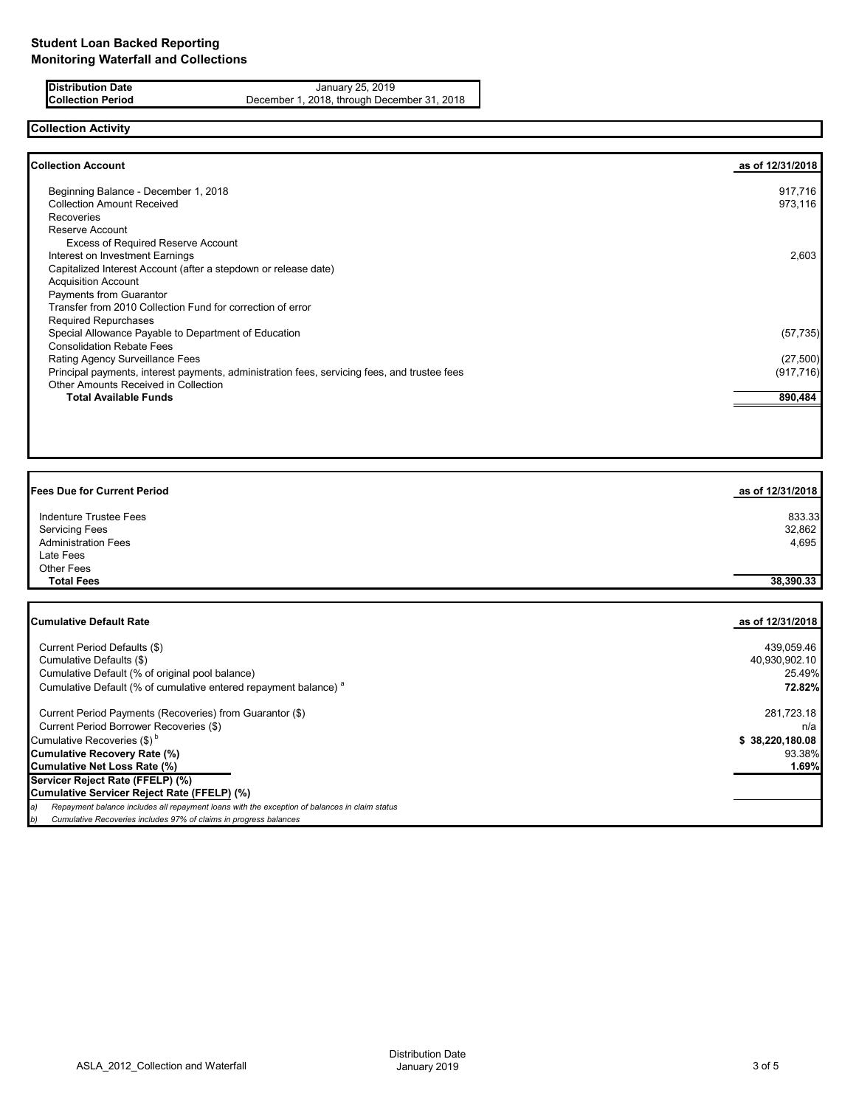**Distribution Date** January 25, 2019<br>**Collection Period** December 1, 2018, through Dece December 1, 2018, through December 31, 2018

# **Collection Activity**

| <b>Collection Account</b>                                                                    | as of 12/31/2018 |
|----------------------------------------------------------------------------------------------|------------------|
| Beginning Balance - December 1, 2018                                                         | 917,716          |
| <b>Collection Amount Received</b>                                                            | 973,116          |
| <b>Recoveries</b>                                                                            |                  |
| Reserve Account                                                                              |                  |
| <b>Excess of Required Reserve Account</b>                                                    |                  |
| Interest on Investment Earnings                                                              | 2,603            |
| Capitalized Interest Account (after a stepdown or release date)                              |                  |
| <b>Acquisition Account</b>                                                                   |                  |
| Payments from Guarantor                                                                      |                  |
| Transfer from 2010 Collection Fund for correction of error                                   |                  |
| <b>Required Repurchases</b>                                                                  |                  |
| Special Allowance Payable to Department of Education                                         | (57, 735)        |
| <b>Consolidation Rebate Fees</b>                                                             |                  |
| Rating Agency Surveillance Fees                                                              | (27,500)         |
| Principal payments, interest payments, administration fees, servicing fees, and trustee fees | (917, 716)       |
| <b>Other Amounts Received in Collection</b>                                                  |                  |
| <b>Total Available Funds</b>                                                                 | 890,484          |
|                                                                                              |                  |

| <b>Fees Due for Current Period</b> | as of 12/31/2018 |
|------------------------------------|------------------|
| Indenture Trustee Fees             | 833.33           |
| <b>Servicing Fees</b>              | 32,862           |
| <b>Administration Fees</b>         | 4,695            |
| Late Fees                          |                  |
| Other Fees                         |                  |
| <b>Total Fees</b>                  | 38,390.33        |
|                                    |                  |

| <b>Cumulative Default Rate</b>                                                                | as of 12/31/2018 |
|-----------------------------------------------------------------------------------------------|------------------|
| Current Period Defaults (\$)                                                                  | 439,059.46       |
| Cumulative Defaults (\$)                                                                      | 40,930,902.10    |
| Cumulative Default (% of original pool balance)                                               | 25.49%           |
| Cumulative Default (% of cumulative entered repayment balance) <sup>a</sup>                   | 72.82%           |
| Current Period Payments (Recoveries) from Guarantor (\$)                                      | 281,723.18       |
| Current Period Borrower Recoveries (\$)                                                       | n/a              |
| Cumulative Recoveries (\$) <sup>b</sup>                                                       | \$38,220,180.08  |
| <b>Cumulative Recovery Rate (%)</b>                                                           | 93.38%           |
| Cumulative Net Loss Rate (%)                                                                  | 1.69%            |
| Servicer Reject Rate (FFELP) (%)                                                              |                  |
| Cumulative Servicer Reject Rate (FFELP) (%)                                                   |                  |
| Repayment balance includes all repayment loans with the exception of balances in claim status |                  |
| Cumulative Recoveries includes 97% of claims in progress balances<br>D)                       |                  |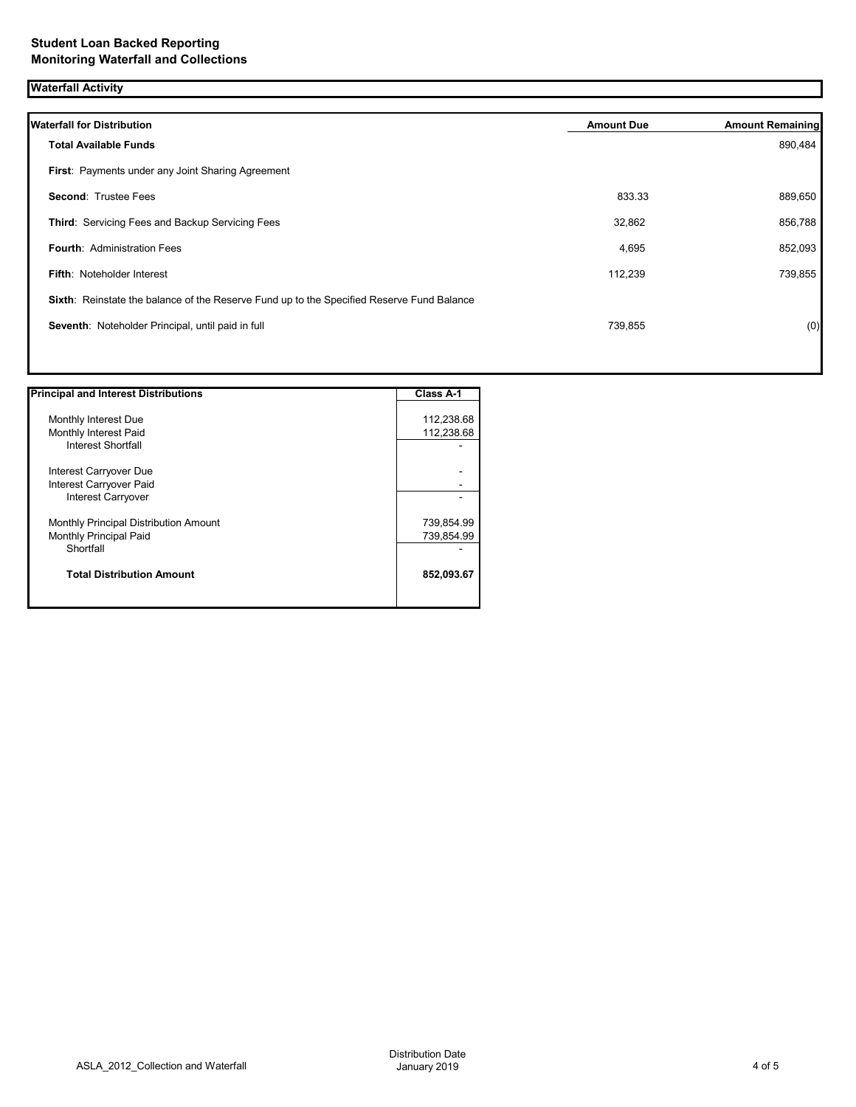| <b>Waterfall Activity</b>                                                                 |                   |                         |
|-------------------------------------------------------------------------------------------|-------------------|-------------------------|
| <b>Waterfall for Distribution</b>                                                         | <b>Amount Due</b> | <b>Amount Remaining</b> |
| <b>Total Available Funds</b>                                                              |                   | 890,484                 |
| First: Payments under any Joint Sharing Agreement                                         |                   |                         |
| <b>Second: Trustee Fees</b>                                                               | 833.33            | 889,650                 |
| Third: Servicing Fees and Backup Servicing Fees                                           | 32,862            | 856,788                 |
| <b>Fourth: Administration Fees</b>                                                        | 4,695             | 852,093                 |
| <b>Fifth: Noteholder Interest</b>                                                         | 112,239           | 739,855                 |
| Sixth: Reinstate the balance of the Reserve Fund up to the Specified Reserve Fund Balance |                   |                         |
| Seventh: Noteholder Principal, until paid in full                                         | 739,855           | (0)                     |
|                                                                                           |                   |                         |

| <b>Principal and Interest Distributions</b> | <b>Class A-1</b> |
|---------------------------------------------|------------------|
| Monthly Interest Due                        | 112,238.68       |
| Monthly Interest Paid                       | 112,238.68       |
| <b>Interest Shortfall</b>                   |                  |
| Interest Carryover Due                      |                  |
| Interest Carryover Paid                     |                  |
| Interest Carryover                          |                  |
| Monthly Principal Distribution Amount       | 739,854.99       |
| Monthly Principal Paid                      | 739,854.99       |
| Shortfall                                   |                  |
| <b>Total Distribution Amount</b>            | 852,093.67       |
|                                             |                  |